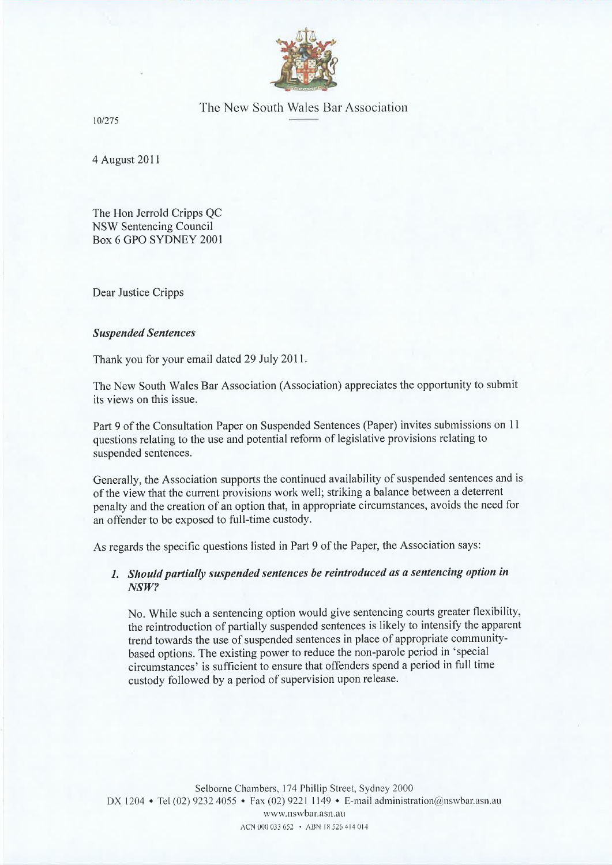

# The New South Wales Bar Association

101275

4 August <sup>2011</sup>

The Hon Jerrold Cripps QC NSW Sentencing Council Box 6 GPO SYDNEY 2001

Dear Justice Cripps

#### Suspended Sentences

Thank you for your email dated 29 July 2011.

The New South Wales Bar Association (Association) appreciates the opportunity to submit its views on this issue.

Part 9 of the Consultation Paper on Suspended Sentences (Paper) invites submissions on 11 questions relating to the use and potential reform of legislative provisions relating to suspended sentences.

Generally, the Association supports the continued availability of suspended sentences and is of the view that the current provisions work well; striking a balance between a deterrent penalty and the creation of an option that, in appropriate circumstances, avoids the need for an offender to be exposed to full-time custody.

As regards the specific questions listed in Part 9 of the Paper, the Association says:

## 1, Shoutd partially suspended sentences be reintroduced as a sentencing option in NSW?

No. While such a sentencing option would give sentencing courts greater flexibility, the reintroduction of partially suspended sentences is likely to intensify the apparent trend towards the use of suspended sentences in place of appropriate communitybased options. The existing power to reduce the non-parole period in 'special circumstances' is sufficient to ensure that offenders spend a period in full time custody followed by a period of supervision upon release.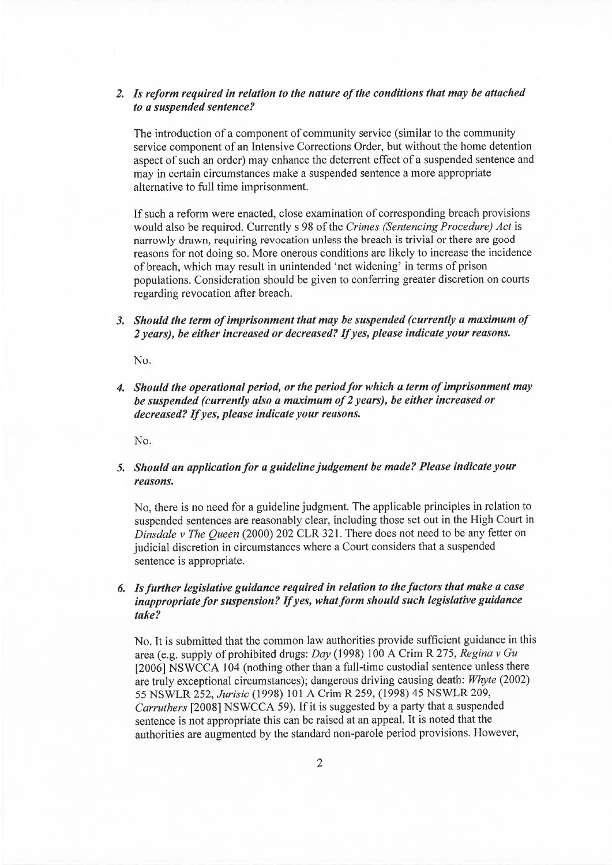### 2. Is reform required in relation to the nature of the conditions that may be attached to a suspended sentence?

The introduction of a component of community service (similar to the community service component of an Intensive Corrections Order, but without the home detention aspect of such an order) may enhance the deterrent effect of a suspended sentence and may in certain circumstances make a suspended sentence a more appropriate alternative to fulI time imprisonment,

If such a reform were enacted, close examination of corresponding breach provisions would also be required. Currently s 98 of the Crimes (Sentencing Procedure) Act is narrowly drawn, requiring revocation unless the breach is trivial or there are good reasons for not doing so. More onerous conditions are likely to increase the incidence of breach, which may result in unintended 'net widening' in terms of prison populations. Consideration should be given to conferring greater discretion on courts regarding revocation after breach.

3. Should the term of imprisonment that may be suspended (currently a maximum of 2 years), be either increased or decreased? If yes, please indicate your reasons.

No

4. Should the operational period, or the period for which a term of imprisonment may be suspended (currently also a maximum of 2 years), be either increased or decreased? If yes, please indicate your reasons.

No

## 5. Should an application for a guideline judgement be made? Please indicate your reasons.

No, there is no need for a guideline judgment. The applicable principles in relation to suspended sentences are reasonably clear, including those set out in the High Court in Dinsdale v The Queen (2000) 202 CLR 321. There does not need to be any fetter on judicial discretion in circumstances where a Court considers that a suspended sentence is appropriate.

## 6. Is further legislative guidance required in relation to theføctors that make a case inappropriate for suspension? If yes, what form should such legislative guidance take?

No. It is submitted that the common law authorities provide sufficient guidance in this area (e.g. supply of prohibited drugs: Day (1998) 100 A Crim R 275, Regina v Gu [2006] NSWCCA 104 (nothing other than a full-time custodial sentence unless there are truly exceptional circumstances); dangerous driving causing death: Whyte (2002) <sup>55</sup>NSWLR 252, Jurisic (1998) 101 A Crim R 259, (1998) 45 NSWLR 209, Carruthers [2008] NSWCCA 59). If it is suggested by a party that a suspended sentence is not appropriate this can be raised at an appeal. It is noted that the authorities are augmented by the standard non-parole period provisions. However,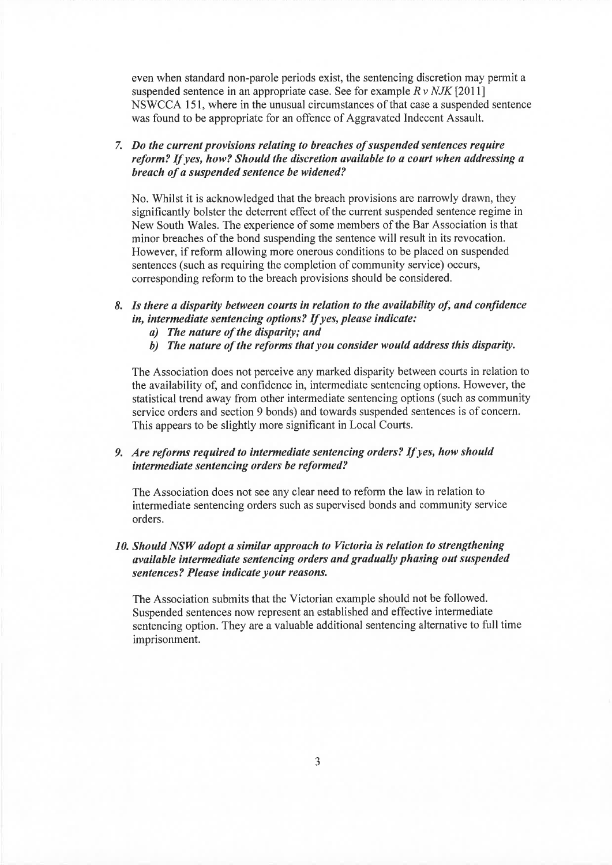even \ühen standard non-parole periods exist, the sentencing discretion may permit a suspended sentence in an appropriate case. See for example  $R v NJK$  [2011] NSWCCA 151, where in the unusual circumstances of that case a suspended sentence was found to be appropriate for an offence of Aggravated Indecent Assault.

7. Do the current provisions relating to breaches of suspended sentences require reform? If yes, how? Should the discretion available to a court when addressing a breach of a suspended sentence be widened?

No. Whilst it is acknowledged that the breach provisions are narrowly drawn, they significantly bolster the deterrent effect of the current suspended sentence regime in New South Wales. The experience of some members of the Bar Association is that minor breaches of the bond suspending the sentence will result in its revocation. However, if reform allowing more onerous conditions to be placed on suspended sentences (such as requiring the completion of community service) occurs, corresponding reform to the breach provisions should be considered.

# 8. Is there a disparity between courts in relation to the availability of, and confidence in, intermediate sentencing options? If yes, please indicate:<br>a) The nature of the disparity; and

- 
- b) The nature of the reforms that you consider would address this disparity.

The Association does not perceive any marked disparity between courts in relation to the availability of, and confidence in, intermediate sentencing options. However, the statistical trend away from other intermediate sentencing options (such as community service orders and section 9 bonds) and towards suspended sentences is of concern. This appears to be slightly more significant in Local Courts.

#### 9. Are reforms required to íntermediate sentencing orders? If yes, how should intermediate sentencing orders be reformed?

The Association does not see any clear need to reform the law in relation to intermediate sentencing orders such as supervised bonds and community service orders.

## 10. Should NSW adopt a similar approach to Victoria is relation to strengthening avøilable intermediate sentencing orders and gradually phøsing out suspended sentences? Please indicate your reasons.

The Association submits that the Victorian example should not be followed. Suspended sentences now represent an established and effective intermediate sentencing option. They are a valuable additional sentencing alternative to full time imprisonment.